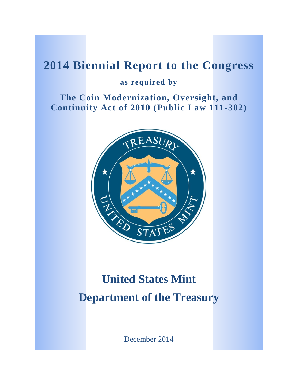# **2014 Biennial Report to the Congress**

# **as required by**

**The Coin Modernization, Oversight, and Continuity Act of 2010 (Public Law 111-302)**



# **United States Mint Department of the Treasury**

December 2014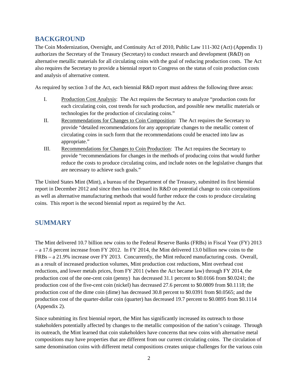# **BACKGROUND**

The Coin Modernization, Oversight, and Continuity Act of 2010, Public Law 111-302 (Act) (Appendix 1) authorizes the Secretary of the Treasury (Secretary) to conduct research and development (R&D) on alternative metallic materials for all circulating coins with the goal of reducing production costs. The Act also requires the Secretary to provide a biennial report to Congress on the status of coin production costs and analysis of alternative content.

As required by section 3 of the Act, each biennial R&D report must address the following three areas:

- I. Production Cost Analysis: The Act requires the Secretary to analyze "production costs for each circulating coin, cost trends for such production, and possible new metallic materials or technologies for the production of circulating coins."
- II. Recommendations for Changes to Coin Composition: The Act requires the Secretary to provide "detailed recommendations for any appropriate changes to the metallic content of circulating coins in such form that the recommendations could be enacted into law as appropriate."
- III. Recommendations for Changes to Coin Production: The Act requires the Secretary to provide "recommendations for changes in the methods of producing coins that would further reduce the costs to produce circulating coins, and include notes on the legislative changes that are necessary to achieve such goals."

The United States Mint (Mint), a bureau of the Department of the Treasury, submitted its first biennial report in December 2012 and since then has continued its R&D on potential change to coin compositions as well as alternative manufacturing methods that would further reduce the costs to produce circulating coins. This report is the second biennial report as required by the Act.

# **SUMMARY**

The Mint delivered 10.7 billion new coins to the Federal Reserve Banks (FRBs) in Fiscal Year (FY) 2013 – a 17.6 percent increase from FY 2012. In FY 2014, the Mint delivered 13.0 billion new coins to the FRBs – a 21.9% increase over FY 2013. Concurrently, the Mint reduced manufacturing costs. Overall, as a result of increased production volumes, Mint production cost reductions, Mint overhead cost reductions, and lower metals prices, from FY 2011 (when the Act became law) through FY 2014, the production cost of the one-cent coin (penny) has decreased 31.1 percent to \$0.0166 from \$0.0241; the production cost of the five-cent coin (nickel) has decreased 27.6 percent to \$0.0809 from \$0.1118; the production cost of the dime coin (dime) has decreased 30.8 percent to \$0.0391 from \$0.0565; and the production cost of the quarter-dollar coin (quarter) has decreased 19.7 percent to \$0.0895 from \$0.1114 (Appendix 2).

Since submitting its first biennial report, the Mint has significantly increased its outreach to those stakeholders potentially affected by changes to the metallic composition of the nation's coinage. Through its outreach, the Mint learned that coin stakeholders have concerns that new coins with alternative metal compositions may have properties that are different from our current circulating coins. The circulation of same denomination coins with different metal compositions creates unique challenges for the various coin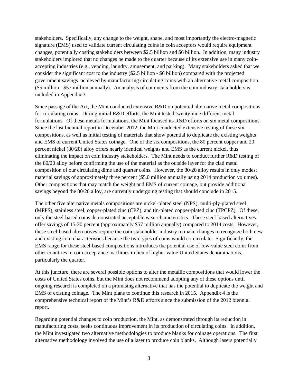stakeholders. Specifically, any change to the weight, shape, and most importantly the electro-magnetic signature (EMS) used to validate current circulating coins in coin acceptors would require equipment changes, potentially costing stakeholders between \$2.5 billion and \$6 billion. In addition, many industry stakeholders implored that no changes be made to the quarter because of its extensive use in many coinaccepting industries (e.g., vending, laundry, amusement, and parking). Many stakeholders asked that we consider the significant cost to the industry (\$2.5 billion - \$6 billion) compared with the projected government savings achieved by manufacturing circulating coins with an alternative metal composition (\$5 million - \$57 million annually). An analysis of comments from the coin industry stakeholders is included in Appendix 3.

Since passage of the Act, the Mint conducted extensive R&D on potential alternative metal compositions for circulating coins. During initial R&D efforts, the Mint tested twenty-nine different metal formulations. Of these metals formulations, the Mint focused its R&D efforts on six metal compositions. Since the last biennial report in December 2012, the Mint conducted extensive testing of these six compositions, as well as initial testing of materials that show potential to duplicate the existing weights and EMS of current United States coinage. One of the six compositions, the 80 percent copper and 20 percent nickel (80/20) alloy offers nearly identical weights and EMS as the current nickel, thus eliminating the impact on coin industry stakeholders. The Mint needs to conduct further R&D testing of the 80/20 alloy before confirming the use of the material as the outside layer for the clad metal composition of our circulating dime and quarter coins. However, the 80/20 alloy results in only modest material savings of approximately three percent (\$5.0 million annually using 2014 production volumes). Other compositions that may match the weight and EMS of current coinage, but provide additional savings beyond the 80/20 alloy, are currently undergoing testing that should conclude in 2015.

The other five alternative metals compositions are nickel-plated steel (NPS), multi-ply-plated steel (MPPS), stainless steel, copper-plated zinc (CPZ), and tin-plated copper-plated zinc (TPCPZ). Of these, only the steel-based coins demonstrated acceptable wear characteristics. These steel-based alternatives offer savings of 15-20 percent (approximately \$57 million annually) compared to 2014 costs. However, these steel-based alternatives require the coin stakeholder industry to make changes to recognize both new and existing coin characteristics because the two types of coins would co-circulate. Significantly, the EMS range for these steel-based compositions introduces the potential use of low-value steel coins from other countries in coin acceptance machines in lieu of higher value United States denominations, particularly the quarter.

At this juncture, there are several possible options to alter the metallic compositions that would lower the costs of United States coins, but the Mint does not recommend adopting any of these options until ongoing research is completed on a promising alternative that has the potential to duplicate the weight and EMS of existing coinage. The Mint plans to continue this research in 2015. Appendix 4 is the comprehensive technical report of the Mint's R&D efforts since the submission of the 2012 biennial report.

Regarding potential changes to coin production, the Mint, as demonstrated through its reduction in manufacturing costs, seeks continuous improvement in its production of circulating coins. In addition, the Mint investigated two alternative methodologies to produce blanks for coinage operations. The first alternative methodology involved the use of a laser to produce coin blanks. Although lasers potentially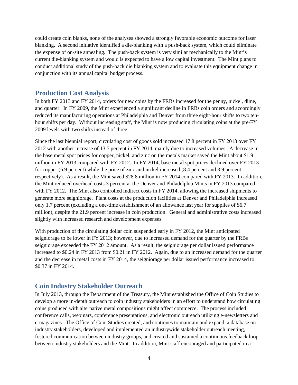could create coin blanks, none of the analyses showed a strongly favorable economic outcome for laser blanking. A second initiative identified a die-blanking with a push-back system, which could eliminate the expense of on-site annealing. The push-back system is very similar mechanically to the Mint's current die-blanking system and would is expected to have a low capital investment. The Mint plans to conduct additional study of the push-back die blanking system and to evaluate this equipment change in conjunction with its annual capital budget process.

## **Production Cost Analysis**

In both FY 2013 and FY 2014, orders for new coins by the FRBs increased for the penny, nickel, dime, and quarter. In FY 2009, the Mint experienced a significant decline in FRBs coin orders and accordingly reduced its manufacturing operations at Philadelphia and Denver from three eight-hour shifts to two tenhour shifts per day. Without increasing staff, the Mint is now producing circulating coins at the pre-FY 2009 levels with two shifts instead of three.

Since the last biennial report, circulating cost of goods sold increased 17.8 percent in FY 2013 over FY 2012 with another increase of 13.5 percent in FY 2014, mainly due to increased volumes. A decrease in the base metal spot prices for copper, nickel, and zinc on the metals market saved the Mint about \$1.9 million in FY 2013 compared with FY 2012. In FY 2014, base metal spot prices declined over FY 2013 for copper (6.9 percent) while the price of zinc and nickel increased (8.4 percent and 3.9 percent, respectively). As a result, the Mint saved \$28.8 million in FY 2014 compared with FY 2013. In addition, the Mint reduced overhead costs 3 percent at the Denver and Philadelphia Mints in FY 2013 compared with FY 2012. The Mint also controlled indirect costs in FY 2014, allowing the increased shipments to generate more seigniorage. Plant costs at the production facilities at Denver and Philadelphia increased only 1.7 percent (excluding a one-time establishment of an allowance last year for supplies of \$6.7 million), despite the 21.9 percent increase in coin production. General and administrative costs increased slightly with increased research and development expenses.

With production of the circulating dollar coin suspended early in FY 2012, the Mint anticipated seigniorage to be lower in FY 2013; however, due to increased demand for the quarter by the FRBs seigniorage exceeded the FY 2012 amount. As a result, the seigniorage per dollar issued performance increased to \$0.24 in FY 2013 from \$0.21 in FY 2012. Again, due to an increased demand for the quarter and the decrease in metal costs in FY 2014, the seigniorage per dollar issued performance increased to \$0.37 in FY 2014.

# **Coin Industry Stakeholder Outreach**

In July 2013, through the Department of the Treasury, the Mint established the Office of Coin Studies to develop a more in-depth outreach to coin industry stakeholders in an effort to understand how circulating coins produced with alternative metal compositions might affect commerce. The process included conference calls, webinars, conference presentations, and electronic outreach utilizing e-newsletters and e-magazines. The Office of Coin Studies created, and continues to maintain and expand, a database on industry stakeholders, developed and implemented an industrywide stakeholder outreach meeting, fostered communication between industry groups, and created and sustained a continuous feedback loop between industry stakeholders and the Mint. In addition, Mint staff encouraged and participated in a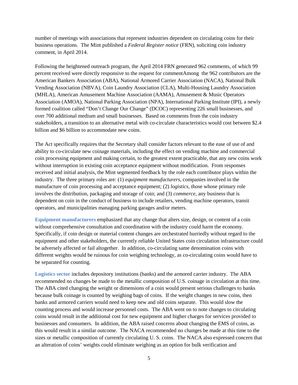number of meetings with associations that represent industries dependent on circulating coins for their business operations. The Mint published a *Federal Register notice* (FRN), soliciting coin industry comment, in April 2014.

Following the heightened outreach program, the April 2014 FRN generated 962 comments, of which 99 percent received were directly responsive to the request for commentAmong the 962 contributors are the American Bankers Association (ABA), National Armored Carrier Association (NACA), National Bulk Vending Association (NBVA), Coin Laundry Association (CLA), Multi-Housing Laundry Association (MHLA), American Amusement Machine Association (AAMA), Amusement & Music Operators Association (AMOA), National Parking Association (NPA), International Parking Institute (IPI), a newly formed coalition called "Don't Change Our Change" (DCOC) representing 226 small businesses, and over 700 additional medium and small businesses. Based on comments from the coin industry stakeholders, a transition to an alternative metal with co-circulate characteristics would cost between \$2.4 billion and \$6 billion to accommodate new coins.

The Act specifically requires that the Secretary shall consider factors relevant to the ease of use of and ability to co-circulate new coinage materials, including the effect on vending machine and commercial coin processing equipment and making certain, to the greatest extent practicable, that any new coins work without interruption in existing coin acceptance equipment without modification. From responses received and initial analysis, the Mint segmented feedback by the role each contributor plays within the industry. The three primary roles are: (1) *equipment manufacturers*, companies involved in the manufacture of coin processing and acceptance equipment; (2) *logistics*, those whose primary role involves the distribution, packaging and storage of coin; and (3) *commerce*, any business that is dependent on coin in the conduct of business to include retailers, vending machine operators, transit operators, and municipalities managing parking garages and/or meters.

**Equipment manufacturers** emphasized that any change that alters size, design, or content of a coin without comprehensive consultation and coordination with the industry could harm the economy. Specifically, if coin design or material content changes are orchestrated hurriedly without regard to the equipment and other stakeholders, the currently reliable United States coin circulation infrastructure could be adversely affected or fail altogether. In addition, co-circulating same denomination coins with different weights would be ruinous for coin weighing technology, as co-circulating coins would have to be separated for counting.

**Logistics sector** includes depository institutions (banks) and the armored carrier industry. The ABA recommended no changes be made to the metallic composition of U.S. coinage in circulation at this time. The ABA cited changing the weight or dimensions of a coin would present serious challenges to banks because bulk coinage is counted by weighing bags of coins. If the weight changes in new coins, then banks and armored carriers would need to keep new and old coins separate. This would slow the counting process and would increase personnel costs. The ABA went on to note changes to circulating coins would result in the additional cost for new equipment and higher charges for services provided to businesses and consumers. In addition, the ABA raised concerns about changing the EMS of coins, as this would result in a similar outcome. The NACA recommended no changes be made at this time to the sizes or metallic composition of currently circulating U. S. coins. The NACA also expressed concern that an alteration of coins' weights could eliminate weighing as an option for bulk verification and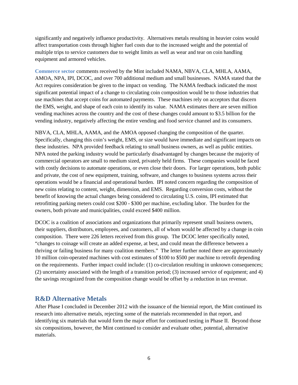significantly and negatively influence productivity. Alternatives metals resulting in heavier coins would affect transportation costs through higher fuel costs due to the increased weight and the potential of multiple trips to service customers due to weight limits as well as wear and tear on coin handling equipment and armored vehicles.

**Commerce sector** comments received by the Mint included NAMA, NBVA, CLA, MHLA, AAMA, AMOA, NPA, IPI, DCOC, and over 700 additional medium and small businesses. NAMA stated that the Act requires consideration be given to the impact on vending. The NAMA feedback indicated the most significant potential impact of a change to circulating coin composition would be to those industries that use machines that accept coins for automated payments. These machines rely on acceptors that discern the EMS, weight, and shape of each coin to identify its value. NAMA estimates there are seven million vending machines across the country and the cost of these changes could amount to \$3.5 billion for the vending industry, negatively affecting the entire vending and food service channel and its consumers.

NBVA, CLA, MHLA, AAMA, and the AMOA opposed changing the composition of the quarter. Specifically, changing this coin's weight, EMS, or size would have immediate and significant impacts on these industries. NPA provided feedback relating to small business owners, as well as public entities. NPA noted the parking industry would be particularly disadvantaged by changes because the majority of commercial operators are small to medium sized, privately held firms. These companies would be faced with costly decisions to automate operations, or even close their doors. For larger operations, both public and private, the cost of new equipment, training, software, and changes to business systems across their operations would be a financial and operational burden. IPI noted concern regarding the composition of new coins relating to content, weight, dimension, and EMS. Regarding conversion costs, without the benefit of knowing the actual changes being considered to circulating U.S. coins, IPI estimated that retrofitting parking meters could cost \$200 - \$300 per machine, excluding labor.The burden for the owners, both private and municipalities, could exceed \$400 million.

DCOC is a coalition of associations and organizations that primarily represent small business owners, their suppliers, distributors, employees, and customers, all of whom would be affected by a change in coin composition. There were 226 letters received from this group. The DCOC letter specifically noted, "changes to coinage will create an added expense, at best, and could mean the difference between a thriving or failing business for many coalition members." The letter further noted there are approximately 10 million coin-operated machines with cost estimates of \$100 to \$500 per machine to retrofit depending on the requirements. Further impact could include: (1) co-circulation resulting in unknown consequences; (2) uncertainty associated with the length of a transition period; (3) increased service of equipment; and 4) the savings recognized from the composition change would be offset by a reduction in tax revenue.

# **R&D Alternative Metals**

After Phase I concluded in December 2012 with the issuance of the biennial report, the Mint continued its research into alternative metals, rejecting some of the materials recommended in that report, and identifying six materials that would form the major effort for continued testing in Phase II. Beyond those six compositions, however, the Mint continued to consider and evaluate other, potential, alternative materials.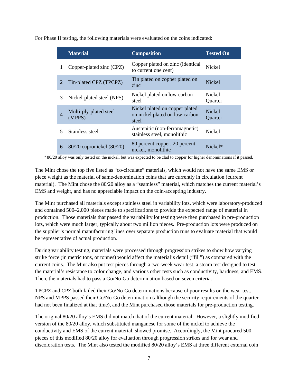|                | <b>Material</b>                  | <b>Composition</b>                                                        | <b>Tested On</b>         |
|----------------|----------------------------------|---------------------------------------------------------------------------|--------------------------|
| 1              | Copper-plated zinc (CPZ)         | Copper plated on zinc (identical<br>to current one cent)                  | <b>Nickel</b>            |
| 2              | Tin-plated CPZ (TPCPZ)           | Tin plated on copper plated on<br>zinc                                    | <b>Nickel</b>            |
| 3              | Nickel-plated steel (NPS)        | Nickel plated on low-carbon<br>steel                                      | Nickel<br>Quarter        |
| $\overline{4}$ | Multi-ply-plated steel<br>(MPPS) | Nickel plated on copper plated<br>on nickel plated on low-carbon<br>steel | <b>Nickel</b><br>Quarter |
| 5              | Stainless steel                  | Austenitic (non-ferromagnetic)<br>stainless steel, monolithic             | Nickel                   |
| 6              | 80/20 cupronickel (80/20)        | 80 percent copper, 20 percent<br>nickel, monolithic                       | $Nickel*$                |

For Phase II testing, the following materials were evaluated on the coins indicated:

\* 80/20 alloy was only tested on the nickel, but was expected to be clad to copper for higher denominations if it passed.

The Mint chose the top five listed as "co-circulate" materials, which would not have the same EMS or piece weight as the material of same-denomination coins that are currently in circulation (current material). The Mint chose the 80/20 alloy as a "seamless" material, which matches the current material's EMS and weight, and has no appreciable impact on the coin-accepting industry.

The Mint purchased all materials except stainless steel in variability lots, which were laboratory-produced and contained 500–2,000 pieces made to specifications to provide the expected range of material in production. Those materials that passed the variability lot testing were then purchased in pre-production lots, which were much larger, typically about two million pieces. Pre-production lots were produced on the supplier's normal manufacturing lines over separate production runs to evaluate material that would be representative of actual production.

During variability testing, materials were processed through progression strikes to show how varying strike force (in metric tons, or tonnes) would affect the material's detail ("fill") as compared with the current coins. The Mint also put test pieces through a two-week wear test, a steam test designed to test the material's resistance to color change, and various other tests such as conductivity, hardness, and EMS. Then, the materials had to pass a Go/No-Go determination based on seven criteria.

TPCPZ and CPZ both failed their Go/No-Go determinations because of poor results on the wear test. NPS and MPPS passed their Go/No-Go determination (although the security requirements of the quarter had not been finalized at that time), and the Mint purchased those materials for pre-production testing.

The original 80/20 alloy's EMS did not match that of the current material. However, a slightly modified version of the 80/20 alloy, which substituted manganese for some of the nickel to achieve the conductivity and EMS of the current material, showed promise. Accordingly, the Mint procured 500 pieces of this modified 80/20 alloy for evaluation through progression strikes and for wear and discoloration tests. The Mint also tested the modified 80/20 alloy's EMS at three different external coin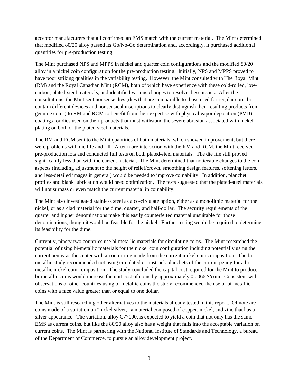acceptor manufacturers that all confirmed an EMS match with the current material. The Mint determined that modified 80/20 alloy passed its Go/No-Go determination and, accordingly, it purchased additional quantities for pre-production testing.

The Mint purchased NPS and MPPS in nickel and quarter coin configurations and the modified 80/20 alloy in a nickel coin configuration for the pre-production testing. Initially, NPS and MPPS proved to have poor striking qualities in the variability testing. However, the Mint consulted with The Royal Mint (RM) and the Royal Canadian Mint (RCM), both of which have experience with these cold-rolled, lowcarbon, plated-steel materials, and identified various changes to resolve these issues. After the consultations, the Mint sent nonsense dies (dies that are comparable to those used for regular coin, but contain different devices and nonsensical inscriptions to clearly distinguish their resulting products from genuine coins) to RM and RCM to benefit from their expertise with physical vapor deposition (PVD) coatings for dies used on their products that must withstand the severe abrasion associated with nickel plating on both of the plated-steel materials.

The RM and RCM sent to the Mint quantities of both materials, which showed improvement, but there were problems with die life and fill. After more interaction with the RM and RCM, the Mint received pre-production lots and conducted full tests on both plated-steel materials. The die life still proved significantly less than with the current material. The Mint determined that noticeable changes to the coin aspects (including adjustment to the height of relief/crown, smoothing design features, softening letters, and less-detailed images in general) would be needed to improve coinability. In addition, planchet profiles and blank lubrication would need optimization. The tests suggested that the plated-steel materials will not surpass or even match the current material in coinability.

The Mint also investigated stainless steel as a co-circulate option, either as a monolithic material for the nickel, or as a clad material for the dime, quarter, and half-dollar. The security requirements of the quarter and higher denominations make this easily counterfeited material unsuitable for those denominations, though it would be feasible for the nickel. Further testing would be required to determine its feasibility for the dime.

Currently, ninety-two countries use bi-metallic materials for circulating coins. The Mint researched the potential of using bi-metallic materials for the nickel coin configuration including potentially using the current penny as the center with an outer ring made from the current nickel coin composition. The bimetallic study recommended not using circulated or unstruck planchets of the current penny for a bimetallic nickel coin composition. The study concluded the capital cost required for the Mint to produce bi-metallic coins would increase the unit cost of coins by approximately 0.0066 \$/coin. Consistent with observations of other countries using bi-metallic coins the study recommended the use of bi-metallic coins with a face value greater than or equal to one dollar.

The Mint is still researching other alternatives to the materials already tested in this report. Of note are coins made of a variation on "nickel silver," a material composed of copper, nickel, and zinc that has a silver appearance. The variation, alloy C77000, is expected to yield a coin that not only has the same EMS as current coins, but like the 80/20 alloy also has a weight that falls into the acceptable variation on current coins. The Mint is partnering with the National Institute of Standards and Technology, a bureau of the Department of Commerce, to pursue an alloy development project.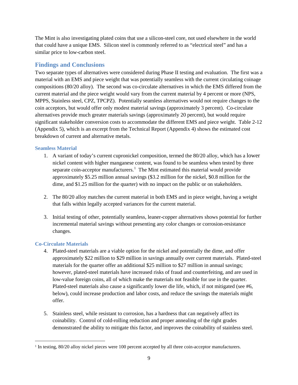The Mint is also investigating plated coins that use a silicon-steel core, not used elsewhere in the world that could have a unique EMS. Silicon steel is commonly referred to as "electrical steel" and has a similar price to low-carbon steel.

## **Findings and Conclusions**

Two separate types of alternatives were considered during Phase II testing and evaluation. The first was a material with an EMS and piece weight that was potentially seamless with the current circulating coinage compositions (80/20 alloy). The second was co-circulate alternatives in which the EMS differed from the current material and the piece weight would vary from the current material by 4 percent or more (NPS, MPPS, Stainless steel, CPZ, TPCPZ). Potentially seamless alternatives would not require changes to the coin acceptors, but would offer only modest material savings (approximately 3 percent). Co-circulate alternatives provide much greater materials savings (approximately 20 percent), but would require significant stakeholder conversion costs to accommodate the different EMS and piece weight. Table 2-12 (Appendix 5), which is an excerpt from the Technical Report (Appendix 4) shows the estimated cost breakdown of current and alternative metals.

#### **Seamless Material**

- 1. A variant of today's current cupronickel composition, termed the 80/20 alloy, which has a lower nickel content with higher manganese content, was found to be seamless when tested by three separate coin-acceptor manufacturers.<sup>[1](#page-8-0)</sup> The Mint estimated this material would provide approximately \$5.25 million annual savings (\$3.2 million for the nickel, \$0.8 million for the dime, and \$1.25 million for the quarter) with no impact on the public or on stakeholders.
- 2. The 80/20 alloy matches the current material in both EMS and in piece weight, having a weight that falls within legally accepted variances for the current material.
- 3. Initial testing of other, potentially seamless, leaner-copper alternatives shows potential for further incremental material savings without presenting any color changes or corrosion-resistance changes.

#### **Co-Circulate Materials**

 $\overline{a}$ 

- 4. Plated-steel materials are a viable option for the nickel and potentially the dime, and offer approximately \$22 million to \$29 million in savings annually over current materials. Plated-steel materials for the quarter offer an additional \$25 million to \$27 million in annual savings; however, plated-steel materials have increased risks of fraud and counterfeiting, and are used in low-value foreign coins, all of which make the materials not feasible for use in the quarter. Plated-steel materials also cause a significantly lower die life, which, if not mitigated (see #6, below), could increase production and labor costs, and reduce the savings the materials might offer.
- 5. Stainless steel, while resistant to corrosion, has a hardness that can negatively affect its coinability. Control of cold-rolling reduction and proper annealing of the right grades demonstrated the ability to mitigate this factor, and improves the coinability of stainless steel.

<span id="page-8-0"></span><sup>&</sup>lt;sup>1</sup> In testing, 80/20 alloy nickel pieces were 100 percent accepted by all three coin-acceptor manufacturers.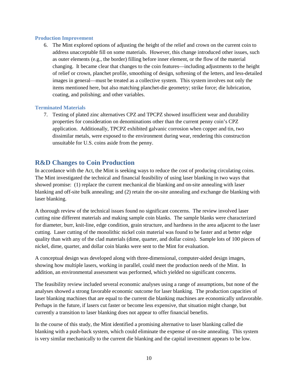#### **Production Improvement**

6. The Mint explored options of adjusting the height of the relief and crown on the current coin to address unacceptable fill on some materials. However, this change introduced other issues, such as outer elements (e.g., the border) filling before inner element, or the flow of the material changing. It became clear that changes to the coin features—including adjustments to the height of relief or crown, planchet profile, smoothing of design, softening of the letters, and less-detailed images in general—must be treated as a collective system. This system involves not only the items mentioned here, but also matching planchet-die geometry; strike force; die lubrication, coating, and polishing; and other variables.

#### **Terminated Materials**

7. Testing of plated zinc alternatives CPZ and TPCPZ showed insufficient wear and durability properties for consideration on denominations other than the current penny coin's CPZ application. Additionally, TPCPZ exhibited galvanic corrosion when copper and tin, two dissimilar metals, were exposed to the environment during wear, rendering this construction unsuitable for U.S. coins aside from the penny.

# **R&D Changes to Coin Production**

In accordance with the Act, the Mint is seeking ways to reduce the cost of producing circulating coins. The Mint investigated the technical and financial feasibility of using laser blanking in two ways that showed promise: (1) replace the current mechanical die blanking and on-site annealing with laser blanking and off-site bulk annealing; and (2) retain the on-site annealing and exchange die blanking with laser blanking.

A thorough review of the technical issues found no significant concerns. The review involved laser cutting nine different materials and making sample coin blanks. The sample blanks were characterized for diameter, burr, knit-line, edge condition, grain structure, and hardness in the area adjacent to the laser cutting. Laser cutting of the monolithic nickel coin material was found to be faster and at better edge quality than with any of the clad materials (dime, quarter, and dollar coins). Sample lots of 100 pieces of nickel, dime, quarter, and dollar coin blanks were sent to the Mint for evaluation.

A conceptual design was developed along with three-dimensional, computer-aided design images, showing how multiple lasers, working in parallel, could meet the production needs of the Mint. In addition, an environmental assessment was performed, which yielded no significant concerns.

The feasibility review included several economic analyses using a range of assumptions, but none of the analyses showed a strong favorable economic outcome for laser blanking. The production capacities of laser blanking machines that are equal to the current die blanking machines are economically unfavorable. Perhaps in the future, if lasers cut faster or become less expensive, that situation might change, but currently a transition to laser blanking does not appear to offer financial benefits.

In the course of this study, the Mint identified a promising alternative to laser blanking called die blanking with a push-back system, which could eliminate the expense of on-site annealing. This system is very similar mechanically to the current die blanking and the capital investment appears to be low.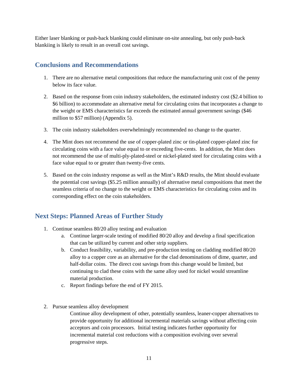Either laser blanking or push-back blanking could eliminate on-site annealing, but only push-back blankiing is likely to result in an overall cost savings.

# **Conclusions and Recommendations**

- 1. There are no alternative metal compositions that reduce the manufacturing unit cost of the penny below its face value.
- 2. Based on the response from coin industry stakeholders, the estimated industry cost (\$2.4 billion to \$6 billion) to accommodate an alternative metal for circulating coins that incorporates a change to the weight or EMS characteristics far exceeds the estimated annual government savings (\$46 million to \$57 million) (Appendix 5).
- 3. The coin industry stakeholders overwhelmingly recommended no change to the quarter.
- 4. The Mint does not recommend the use of copper-plated zinc or tin-plated copper-plated zinc for circulating coins with a face value equal to or exceeding five-cents. In addition, the Mint does not recommend the use of multi-ply-plated-steel or nickel-plated steel for circulating coins with a face value equal to or greater than twenty-five cents.
- 5. Based on the coin industry response as well as the Mint's R&D results, the Mint should evaluate the potential cost savings (\$5.25 million annually) of alternative metal compositions that meet the seamless criteria of no change to the weight or EMS characteristics for circulating coins and its corresponding effect on the coin stakeholders.

# **Next Steps: Planned Areas of Further Study**

- 1. Continue seamless 80/20 alloy testing and evaluation
	- a. Continue larger-scale testing of modified 80/20 alloy and develop a final specification that can be utilized by current and other strip suppliers.
	- b. Conduct feasibility, variability, and pre-production testing on cladding modified 80/20 alloy to a copper core as an alternative for the clad denominations of dime, quarter, and half-dollar coins. The direct cost savings from this change would be limited, but continuing to clad these coins with the same alloy used for nickel would streamline material production.
	- c. Report findings before the end of FY 2015.
- 2. Pursue seamless alloy development

Continue alloy development of other, potentially seamless, leaner-copper alternatives to provide opportunity for additional incremental materials savings without affecting coin acceptors and coin processors. Initial testing indicates further opportunity for incremental material cost reductions with a composition evolving over several progressive steps.